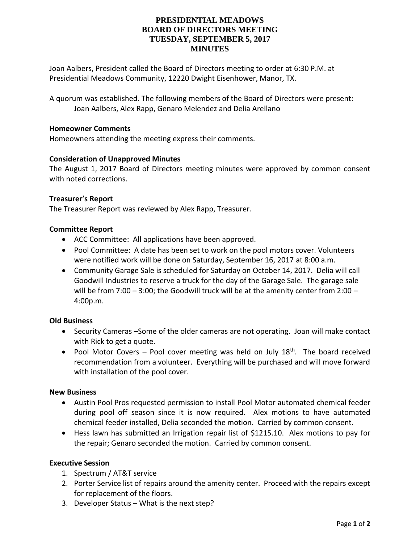# **PRESIDENTIAL MEADOWS BOARD OF DIRECTORS MEETING TUESDAY, SEPTEMBER 5, 2017 MINUTES**

Joan Aalbers, President called the Board of Directors meeting to order at 6:30 P.M. at Presidential Meadows Community, 12220 Dwight Eisenhower, Manor, TX.

A quorum was established. The following members of the Board of Directors were present: Joan Aalbers, Alex Rapp, Genaro Melendez and Delia Arellano

#### **Homeowner Comments**

Homeowners attending the meeting express their comments.

### **Consideration of Unapproved Minutes**

The August 1, 2017 Board of Directors meeting minutes were approved by common consent with noted corrections.

#### **Treasurer's Report**

The Treasurer Report was reviewed by Alex Rapp, Treasurer.

### **Committee Report**

- ACC Committee: All applications have been approved.
- Pool Committee: A date has been set to work on the pool motors cover. Volunteers were notified work will be done on Saturday, September 16, 2017 at 8:00 a.m.
- Community Garage Sale is scheduled for Saturday on October 14, 2017. Delia will call Goodwill Industries to reserve a truck for the day of the Garage Sale. The garage sale will be from 7:00 – 3:00; the Goodwill truck will be at the amenity center from 2:00 – 4:00p.m.

#### **Old Business**

- Security Cameras –Some of the older cameras are not operating. Joan will make contact with Rick to get a quote.
- Pool Motor Covers Pool cover meeting was held on July  $18<sup>th</sup>$ . The board received recommendation from a volunteer. Everything will be purchased and will move forward with installation of the pool cover.

#### **New Business**

- Austin Pool Pros requested permission to install Pool Motor automated chemical feeder during pool off season since it is now required. Alex motions to have automated chemical feeder installed, Delia seconded the motion. Carried by common consent.
- Hess lawn has submitted an Irrigation repair list of \$1215.10. Alex motions to pay for the repair; Genaro seconded the motion. Carried by common consent.

## **Executive Session**

- 1. Spectrum / AT&T service
- 2. Porter Service list of repairs around the amenity center. Proceed with the repairs except for replacement of the floors.
- 3. Developer Status What is the next step?